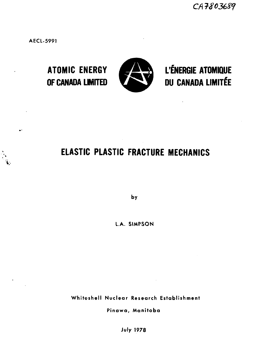CA7803689

**AECL-5991**



**ATOMIC ENERGY W£ & L'ÉNERGIE ATOMIQUE** OF CANADA LIMITED **VALUE DU CANADA LIMITÉE** 

# **ELASTIC PLASTIC FRACTURE MECHANICS**

**by**

**LA. SIMPSON**

**Whiteshell Nuclear Research Establishment**

**Pinawa, Manitoba**

**July 1978**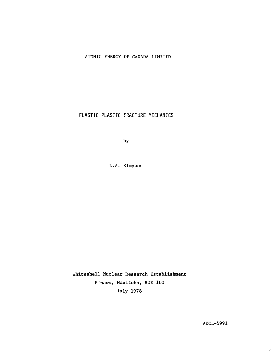## ATOMIC ENERGY OF CANADA LIMITED

ELASTIC PLASTIC FRACTURE MECHANICS

by

L.A. Simpson

 $\bar{\omega}$ 

Whiteshell Nuclear Research Establishment Pinawa, Manitoba, ROE 1LO July 1978

AECL-5991

ċ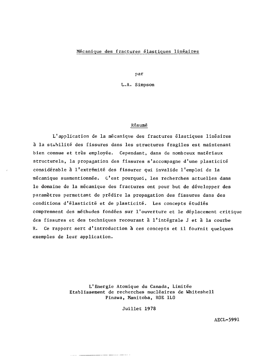#### Mécanique des fractures élastiques linéaires

par

L.A. Simpson

#### Résumé

L'application de la mécanique des fractures élastiques linéaires à la stabilité des fissures dans les structures fragiles est maintenant bien connue et très employée. Cependant, dans de nombreux matériaux structurels, la propagation des fissures s'accompagne d'une plasticité considérable à l'extrémité des fissures qui invalide l'emploi de la mécanique susmentionnée. C'est pourquoi, les recherches actuelles dans le domaine de la mécanique des fractures ont pour but de développer des paramètres permettant de prédire la propagation des fissures dans des conditions d'élasticité et de plasticité. Les concepts étudiés comprennent des méthodes fondées sur l'ouverture et le déplacement critique des fissures et des techniques recourant à l'intégrale J et à la courbe R. Ce rapport sert d'introduction à ces concepts et il fournit quelques exemples de leur application.

> L'Energie Atomique du Canada, Limitée Etablissement de recherches nucléaires de Whiteshell Pinawa, Manitoba, ROE 1L0

> > Juillet 1978

فتنصب ومستردات

AECL-5991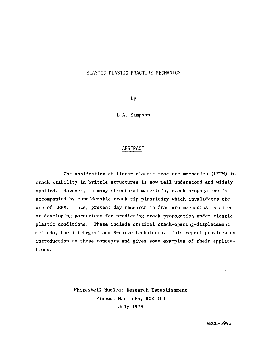# ELASTIC PLASTIC FRACTURE MECHANICS

by

L.A. Simpson

# ABSTRACT

The application of linear elastic fracture mechanics (LEFM) to crack stability in brittle structures is now well understood and widely applied. However, in many structural materials, crack propagation is accompanied by considerable crack-tip plasticity which invalidates the use of LEFM. Thus, present day research in fracture mechanics is aimed at developing parameters for predicting crack propagation under elasticplastic conditions. These include critical crack-opening-displacement methods, the J integral and R-curve techniques. This report provides an introduction to these concepts and gives some examples of their applications.

> Whiteshell Nuclear Research Establishment Pinawa, Manitoba, ROE 1L0 July 1978

> > AECL-5991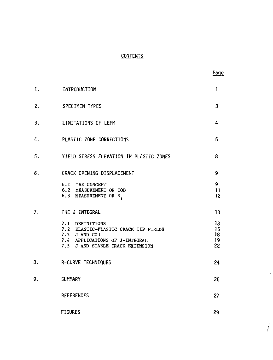# **CONTENTS**

|    |                                                                                                                                                | Page                       |
|----|------------------------------------------------------------------------------------------------------------------------------------------------|----------------------------|
| ı. | INTRODUCTION                                                                                                                                   | 1                          |
| 2. | <b>SPECIMEN TYPES</b>                                                                                                                          | 3                          |
| 3. | LIMITATIONS OF LEFM                                                                                                                            | 4                          |
| 4. | PLASTIC ZONE CORRECTIONS                                                                                                                       | 5                          |
| 5. | YIELD STRESS ELEVATION IN PLASTIC ZONES                                                                                                        | 8                          |
| 6. | CRACK OPENING DISPLACEMENT                                                                                                                     | 9                          |
|    | 6.1 THE CONCEPT<br>6.2 MEASUREMENT OF COD<br>6.3 MEASUREMENT OF $\delta$ <sub>i</sub>                                                          | 9<br>$\overline{1}$<br>12  |
| 7. | THE J INTEGRAL                                                                                                                                 | 13                         |
|    | 7.1 DEFINITIONS<br>7.2 ELASTIC-PLASTIC CRACK TIP FIELDS<br>7.3 J AND COD<br>7.4 APPLICATIONS OF J-INTEGRAL<br>7.5 J AND STABLE CRACK EXTENSION | 13<br>16<br>18<br>19<br>22 |
| 8. | R-CURVE TECHNIQUES                                                                                                                             | 24                         |
| 9. | <b>SUMMARY</b>                                                                                                                                 | 26                         |
|    | <b>REFERENCES</b>                                                                                                                              | 27                         |
|    | <b>FIGURES</b>                                                                                                                                 | 29                         |

 $\int$ 

 $\frac{1}{2}$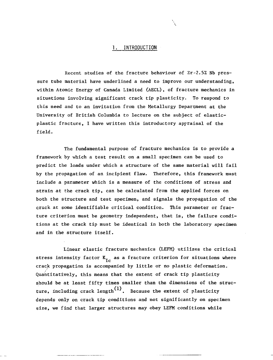#### 1. INTRODUCTION

Recent studies of the fracture behaviour of Zr-2.5% Nb pressure tube material have underlined a need to improve our understanding, within Atomic Energy of Canada Limited (AECL), of fracture mechanics in situations involving significant crack tip plasticity. To respond to this need and to an invitation from the Metallurgy Department at the University of British Columbia to lecture on the subject of elasticplastic fracture, I have written this introductory appraisal of the field.

The fundamental purpose of fracture mechanics is to provide a framework by which a test result on a small specimen can be used to predict the loads under which a structure of the same material will fail by the propagation of an incipient flaw. Therefore, this framework must include a parameter which is a measure of the conditions of stress and strain at the crack tip, can be calculated from the applied forces on both the structure and test specimen, and signals the propagation of the crack at some identifiable critical condition. This parameter or fracture criterion must be geometry independent, that is, the failure conditions at the crack tip must be identical in both the laboratory specimen and in the structure itself.

Linear elastic fracture mechanics (LEFM) utilizes the critical stress intensity factor  $K_{T_c}$  as a fracture criterion for situations where crack propagation is accompanied by little or no plastic deformation. Quantitatively, this means that the extent of crack tip plasticity should be at least fifty times smaller than the dimensions of the structure, including crack length $^{(1)}$ . Because the extent of plasticity depends only on crack tip conditions and not significantly on specimen size, we find that larger structures may obey LEFM conditions while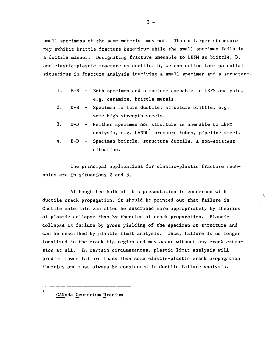small specimens of the same material may not. Thus a larger structure may exhibit brittle fracture behaviour while the small specimen fails in a ductile manner. Designating fracture amenable to LEFM as brittle, B, and elastic-plastic fracture as ductile, D, we can define four potential situations in fracture analysis involving a small specimen and a structure.

- 1. B-B Both specimen and structure amenable to LEFM analysis, e.g. ceramics, brittle metals.
- 2. D-B Specimen failure ductile, structure brittle, e.g. some high strength steels.
- 3. D-D Neither specimen nor structure is amenable to LEFM analysis, e.g.  $GANDU$ <sup>\*</sup> pressure tubes, pipeline steel.
- 4. B-D Specimen brittle, structure ductile, a non-existent situation.

The principal applications for elastic-plastic fracture mechanics are in situations 2 and 3.

 $\tau$ 

Although the bulk of this presentation is concerned with ductile crack propagation, it should be pointed out that failure in ductile materials can often be described more appropriately by theories of plastic collapse than by theories of crack propagation. Plastic collapse is failure by gross yielding of the specimen or structure and can be described by plastic limit analysis. Thus, failure is no longer localized to the crack tip region and may occur without any crack extension at all. In certain circumstances, plastic limit analysis will predict lower failure loads than some elastic-plastic crack propagation theories and must always be considered in ductile failure analysis.

CANada Deuterium Uranium

 $\star$ 

 $- 2 -$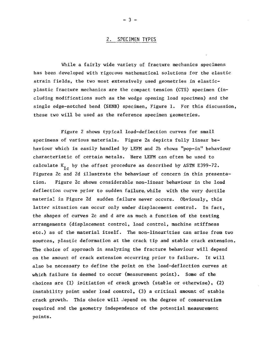#### 2. SPECIMEN TYPES

While a fairly wide variety of fracture mechanics specimens has been developed with rigorous mathematical solutions for the elastic strain fields, the two most extensively used geometries in elasticplastic fracture mechanics are the compact tension (CTS) specimen (including modifications such as the wedge opening load specimen) and the single edge-notched bend (SENB) specimen, Figure 1. For this discussion, these two will be used as the reference specimen geometries.

Figure 2 shows typical load-deflection curves for small specimens of various materials. Figure 2a depicts fully linear behaviour which is easily handled by LEFM and 2b shows "pop-in" behaviour characteristic of certain metals. Here LEFM can often be used to calculate  $K_{T_{c}}$  by the offset procedure as described by ASTM E399-72. Figures 2c and 2d illustrate the behaviour of concern in this presentation. Figure 2c shows considerable non-linear behaviour in the load deflection curve prior to sudden failure, while with the very ductile material in Figure 2d sudden failure never occurs. Obviously, this latter situation can occur only under displacement control. In fact, the shapes of curves 2c and d are as much a function of the testing arrangements (displacement control, load control, machine stiffness etc.) as of the material itself. The non-linearities can arise from two sources, plastic deformation at the crack tip and stable crack extension. The choice of approach in analyzing the fracture behaviour will depend on the amount of crack extension occurring prior to failure. It will also be necessary to define the point on the load-deflection curves at which failure is deemed to occur (measurement point). Some of the choices are (1) initiation of crack growth (stable or otherwise), (2) instability point under load control, (3) a critical amount of stable crack growth. This choice will depend on the degree of conservatism required and the geometry independence of the potential measurement points.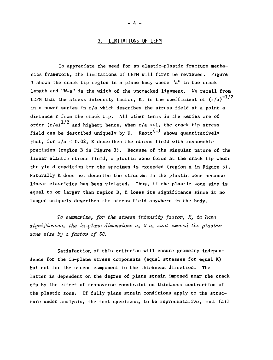#### 3. LIMITATIONS OF LEFM

To appreciate the need for an elastic-plastic fracture mechanics framework, the limitations of LEFM will first be reviewed. Figure 3 shows the crack tip region in a plane body where "a" is the crack length and "W-a" is the width of the uncracked ligament. We recall from LEFM that the stress intensity factor, K, is the coefficient of  $\left({\rm r/a}\right)^{-1/2}$ in a power series in  $r/a$  which describes the stress field at a point a distance r from the crack tip. All other terms in the series are of order (r/a) $^{1/2}$  and higher; hence, when r/a <<1, the crack tip stress field can be described uniquely by K. Knott<sup>(1)</sup> shows quantitatively that, for r/a < 0.02, K describes the stress field with reasonable precision (region B in Figure 3). Because of the singular nature of the linear elastic stress field, a plastic zone forms at the crack tip where the yield condition for the specimen is exceeded (region A in Figure 3). Naturally K does not describe the stresses in the plastic zone because linear elasticity has been violated. Thus, if the plastic zone size is equal to or larger than region B, K loses its significance since it no longer uniquely describes the stress field anywhere in the body.

To summarize, for the stress intensity factor,  $K$ , to have significance, the in-plane dimensions  $a$ ,  $W-a$ , must exceed the plastic zone size by a factor of 50.

Satisfaction of this criterion will ensure geometry independence for the in-plane stress components (equal stresses for equal K) but not for the stress component in the thickness direction. The latter is dependent on the degree of plane strain imposed near the crack tip by the effect of transverse constraint on thickness contraction of the plastic zone. If fully plane strain conditions apply to the structure under analysis, the test specimens, to be representative, must fail

- k -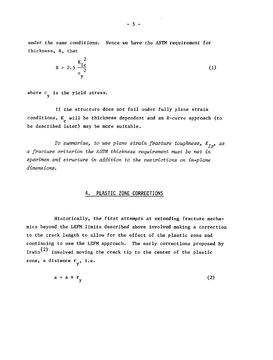under the same conditions. Hence we have the ASTM requirement for thickness, B, that

$$
B > 2.5 \frac{K_{1c}^2}{\sigma_y^2}
$$
 (1)

where  $\sigma_{\mathbf{v}}$  is the yield stress.

y

If the structure does not fail under fully plane strain conditions, K will be thickness dependent and an R-curve approach (to be described later) may be more suitable.

To summarize, to use plane strain fracture toughness,  $K_{Ic}$ , as a fracture criterion the ASTM thickness requirement must be met in<br>specimen and structure in addition to the restrictions on in-plane  $\mathbf{S}$ 

# 4. PLASTIC ZONE CORRECTIONS

Historically, the first attempts at extending fracture mechanics beyond the LEFM limits described above involved making a correction to the crack length to allow for the effect of the plastic zone and continuing to use the LEFM approach. The early corrections proposed by Irwin $^{(2)}$  involved moving the crack tip to the center of the plastic zone, a distance  $r_{v}$ , i.e.

$$
a \rightarrow a + r_{y} \tag{2}
$$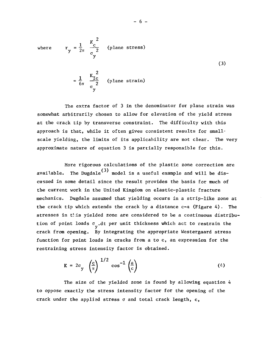where 
$$
r_y = \frac{1}{2\pi} \frac{K_c^2}{\sigma_y^2}
$$
 (plane stress)  
 $r = \frac{2}{3\pi}$ 

 $6\pi$   $\alpha$   $\alpha$   $\alpha$   $\beta$ 

1 I

The extra factor of 3 in the denominator for plane strain was somewhat arbitrarily chosen to allow for elevation of the yield stress at the crack tip by transverse constraint. The difficulty with this approach is that, while it often gives consistent results for smallscale yielding, the limits of its applicability are not clear. The very approximate nature of equation 3 is partially responsible for this.

More rigorous calculations of the plastic zone correction are available. The Dugdale<sup>(3)</sup> model is a useful example and will be discussed in some detail since the result provides the basis for much of the current work in the United Kingdom on elastic-plastic fracture mechanics. Dugdale assumed that yielding occurs in a strip-like zone at the crack tip which extends the crack by a distance  $c-a$  (Figure 4). The stresses in this yielded zone are considered to be a continuous distribution of point loads  $\sigma_{v}$ .dt per unit thickness which act to restrain the crack from opening. By integrating the appropriate Westergaard stress function for point loads in cracks from a to c, an expression for the restraining stress intensity factor is obtained.

$$
K = 2\sigma_y \left(\frac{c}{\pi}\right)^{1/2} \cos^{-1}\left(\frac{a}{c}\right) \tag{4}
$$

The size of the yielded zone is found by allowing equation 4 to oppose exactly the stress intensity factor for the opening of the crack under the applied stress  $\sigma$  and total crack length,  $c$ ,

restraining stress intensity factor is obtained.

- 6 -

(3)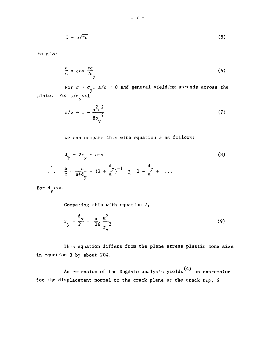$$
X = \sigma \sqrt{\pi c} \tag{5}
$$

*to* give

$$
\frac{a}{c} = \cos \frac{\pi \sigma}{2\sigma} \tag{6}
$$

For  $\sigma \rightarrow \sigma_y$ , a/c  $\rightarrow$  0 and general yielding spreads across the plate. For  $\sigma/\sigma_{\rm v}$  < 1

$$
a/c \rightarrow 1 - \frac{\pi^2 \sigma^2}{8\sigma_y^2} \tag{7}
$$

We can compare this with equation 3 as follows:

$$
d_{y} = 2r_{y} = c-a
$$
\n
$$
\therefore \frac{a}{c} = \frac{a}{a+d_{y}} = (1 + \frac{d}{a})^{-1} \quad \text{and} \quad d_{y} = \frac{1}{a} + \dots
$$
\n(8)

for d *«a*  $y$ <sup>-</sup>

Comparing this with equation 7,

$$
r_y = \frac{d_y}{2} = \frac{\pi}{16} \frac{K^2}{\sigma_y^2}
$$
 (9)

This equation differs from the plane stress plastic zone size in equation 3 by about 20%.

(4) An extension of the Dugdale analysis yields an expression for the displacement normal to the crack plane at the crack tip, &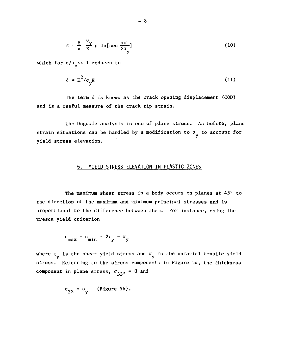$$
\delta = \frac{8}{\pi} \frac{\sigma_y}{E} \text{ a } \ln[\sec \frac{\pi \sigma}{2\sigma_y}]
$$
 (10)

which for  $\sigma/\sigma$ <sub>v</sub> << 1 reduces to

$$
\delta = \kappa^2 / \sigma_{\mathbf{y}} E \tag{11}
$$

The term 6 is known as the crack opening displacement (COD) and is a useful measure of the crack tip strain.

The Dugdale analysis is one of plane stress. As before, plane strain situations can be handled by a modification to  $\sigma_{_{\rm M}}$  to account for yield stress elevation.

# **5. YIELD STRESS ELEVATION IN PLASTIC ZONES**

The maximum shear stress in a body occurs on planes at 45° to the direction of the maximum and minimum principal stresses and is proportional to the difference between them. For instance, using the Tresca yield criterion

$$
\sigma_{\text{max}} - \sigma_{\text{min}} = 2\tau_{\text{y}} = \sigma_{\text{y}}
$$

where  $\tau_{\mathbf{y}}$  is the shear yield stress and  $\sigma_{\mathbf{y}}$  is the uniaxial tensile yield stress. Referring to the stress components in Figure 5a, the thickness component in plane stress,  $\sigma_{33}$ , = 0 and

$$
\sigma_{22} = \sigma_{\text{y}} \quad \text{(Figure 5b)}.
$$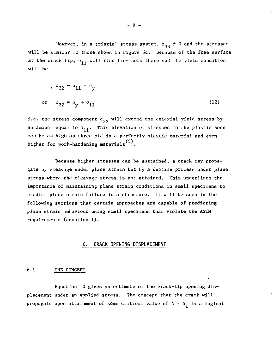However, in a triaxial stress system,  $\sigma_{33} \neq 0$  and the stresses will be similar to those shown in Figure 5c. Because of the free surface at the crack tip,  $\sigma_{11}$  will rise from zero there and the yield condition will be

$$
\sigma_{22} - \sigma_{11} = \sigma_y
$$
  
or 
$$
\sigma_{22} = \sigma_y + \sigma_{11}
$$
 (12)

i.e. the stress component  $\sigma_{22}$  will exceed the uniaxial yield stress by an amount equal to  $\sigma_{11}$ . This elevation of stresses in the plastic zone can be as high as threefold in a perfectly plastic material and even higher for work-hardening materials<sup>(5)</sup>.

Because higher stresses can be sustained, a crack may propagate by cleavage under plane strain but by a ductile process under plane stress where the cleavage stress is not attained. This underlines the importance of maintaining plane strain conditions in small specimens to predict plane strain failure in a structure. It will be seen in the following sections that certain approaches are capable of predicting plane strain behaviour using small specimens that violate the ASTM requirements (equation 1).

#### **6. CRACK OPENING DISPLACEMENT**

#### 6.1 THE CONCEPT

Equation 10 gives an estimate of the crack-tip opening displacement under an applied stress. The concept that the crack will propagate upon attainment of some critical value of  $\delta = \delta_i$  is a logical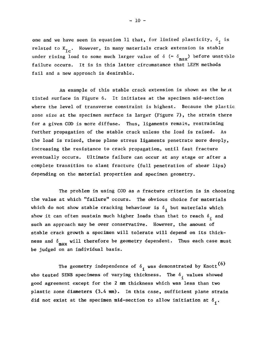one and we have seen in equation 11 that, for limited plasticity,  $\delta$ <sub>;</sub> is related to  $K_{Tc}$ . However, in many materials crack extension is stable under rising load to some much larger value of  $\delta$  (=  $\delta_{\text{max}}$ ) before unstable failure occurs. It is in this latter circumstance that LEFM methods fail and a new approach is desirable.

An example of this stable crack extension is shown as the he it tinted surface in Figure 6. It initiates at the specimen mid-section where the level of transverse constraint is highest. Because the plastic zone size at the specimen surface is larger (Figure 7), the strain there for a given COD is more diffuse. Thus, ligaments remain, restraining further propagation of the stable crack unless the load is raised. As the load is raised, these plane stress ligaments penetrate more deeply, increasing the resistance to crack propagation, until fast fracture eventually occurs. Ultimate failure can occur at any stage or after a complete transition to slant fracture (full penetration of shear lips) depending on the material properties and specimen geometry.

The problem in using COD as a fracture criterion is in choosing the value at which "failure" occurs. The obvious choice for materials which do not show stable cracking behaviour is  $\delta_i$  but materials which show it can often sustain much higher loads than that to reach  $\delta$ , and such an approach may be over conservative. However, the amount of stable crack growth a specimen will tolerate will depend on its thickness and  $\delta_{\text{max}}$  will therefore be geometry dependent. Thus each case must **TUQ.'X.** be judged on an individual basis.

The geometry independence of  $\delta_{\textbf{i}}$  was demonstrated by Knott<sup>(6)</sup> who tested SENB specimens of varying thickness. The  $\delta$ , values showed good agreement except for the 2 mm thickness which was less than two plastic zone diameters (3.4 mm). In this case, sufficient plane strain did not exist at the specimen mid-section to allow initiation at  $\delta_i$ .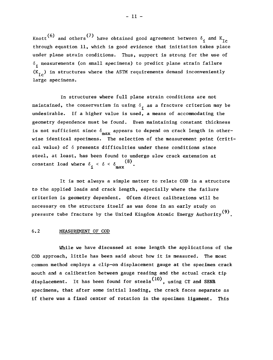Knott<sup>(6)</sup> and others<sup>(7)</sup> have obtained good agreement between  $\delta_{\bf i}$  and  $K_{\bf IC}$ through equation 11, which is good evidence that initiation takes place under plane strain conditions. Thus, support is strong for the use of  $\delta$ , measurements (on small specimens) to predict plane strain failure  $(K_{Tc})$  in structures where the ASTM requirements demand inconveniently large specimens.

In structures where full plane strain conditions are not maintained, the conservatism in using  $\delta$ <sub>i</sub> as a fracture criterion may be undesirable. If a higher value is used, a means of accommodating the geometry dependence must be found. Even maintaining constant thickness is not sufficient since  $\delta_{\text{max}}$  appears to depend on crack length in otherwise identical specimens. The selection of the measurement point (critical value) of  $\delta$  presents difficulties under these conditions since steel, at least, has been found to undergo slow crack extension at constant load where  $\delta_{\textbf{i}} \leq \delta \leq \delta_{\text{max}}^{(8)}$ .

It is not always a simple matter to relate COD in a structure to the applied loads and crack length, especially where the failure criterion is geometry dependent. Often direct calibrations will be necessary on the structure itself as was done in an early study on pressure tube fracture by the United Kingdom Atomic Energy Authority<sup>(9)</sup>.

#### 6.2 MEASUREMENT OF COD

While we have discussed at some length the applications of the COD approach, little has been said about how it is measured. The most common method employs a clip-on displacement gauge at the specimen crack mouth and a calibration between gauge reading and the actual crack tip displacement. It has been found for steels<sup>(10)</sup>, using CT and SENR specimens, that after some initial loading, the crack faces separate as if there was a fixed center of rotation in the specimen ligament. This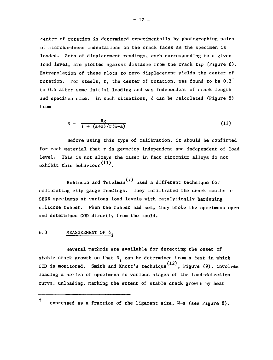center of rotation is determined experimentally by photographing pairs of microhardness indentations on the crack faces as the specimen is loaded. Sets of displacement readings, each corresponding to a given load level, are plotted against distance from the crack tip (Figure 8). Extrapolation of these plots to zero displacement yields the center of rotation. For steels, r, the center of rotation, was found to be  $0.3^{\top}$ to 0.4 after some initial loading and was independent of crack length and specimen size. In such situations,  $\delta$  can be calculated (Figure 8) from

$$
\delta = \frac{Vg}{1 + (a+z)/r(W-a)}
$$
 (13)

Before using this type of calibration, it should be confirmed for each material that r is geometry independent and independent of load level. This is not always the case; in fact zirconium alloys do not exhibit this behaviour  $(11)$ .

Robinson and Tetelman<sup>(7)</sup> used a different technique for calibrating clip gauge readings. They infiltrated the crack mouths of SENB specimens at various load levels with catalytically hardening silicone rubber. When the rubber had set, they broke the specimens open and determined COD directly from the mould.

#### 6.3 MEASUREMENT OF  $\delta$ .

Several methods are available for detecting the onset of stable crack growth so that  $\delta$ , can be determined from a test in which COD is monitored. Smith and Knott's technique<sup>(12)</sup>, Figure (9), involves loading a series of specimens to various stages of the load-defection curve, unloading, marking the extent of stable crack growth by heat

 $^\dagger$ expressed as a fraction of the ligament size, W-a (see Figure 8).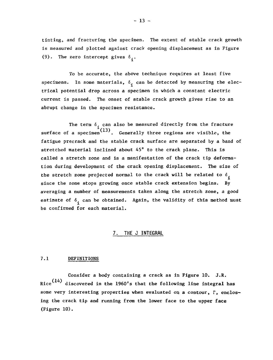tinting, and fracturing the specimen. The extent of stable crack growth is measured and plotted against crack opening displacement as in Figure (9). The zero intercept gives  $\delta$ .

To be accurate, the above technique requires at least five specimens. In some materials,  $\delta_i$  can be detected by measuring the electrical potential drop across a specimen in which a constant electric current is passed. The onset of stable crack growth gives rise to an abrupt change in the specimen resistance.

The term  $\delta_i$  can also be measured directly from the fracture surface of a specimen<sup>(13)</sup>. Generally three regions are visible, the fatigue precrack and the stable crack surface are separated by a band of stretched material inclined about 45° to the crack plane. This is called a stretch zone and is a manifestation of the crack tip deformation during development of the crack opening displacement. The size of the stretch zone projected normal to the crack will be related to  $\delta$ . since the zone stops growing once stable crack extension begins. By averaging a number of measurements taken along the stretch zone, a good estimate of  $\delta_i$  can be obtained. Again, the validity of this method must be confirmed for each material.

# **7. THE J INTEGRAL**

#### 7.1 DEFINITIONS

Consider a body containing a crack as in Figure 10. J.R. Rice $^{\text{(14)}}$  discovered in the 1960's that the following line integral has some very interesting properties when evaluated on a contour,  $\Gamma$ , enclosing the crack tip and running from the lower face to the upper face (Figure 10).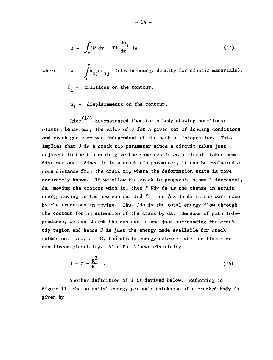$$
J = \int_{\Gamma} [W dy - T i \frac{du_i}{dx} ds]
$$
 (14)

 $i j^{\alpha \epsilon} i j$ where  $W = \int \sigma_{xx} d\varepsilon_{xx}$  (strain energy density for elastic materials),  $T_i$  = tractions on the contour,

 $u_i$  = displacements on the contour.

Rice $^{\rm (14)}$  demonstrated that for a body showing non-linear elastic behaviour, the value of J for a given set of loading conditions and crack geometry was independent of the path of integration. This implies that J is a crack tip parameter since a circuit taken just adjacent to the tip would give the same result as a circuit taken some distance out. Since it is a crack tip parameter, it can be evaluated at some distance from the crack tip where the deformation state is more accurately known. Tf we allow the crack to propagate a small increment, da, moving the contour with it, then / Wdy da is the change in strain energy moving to the new contour and  $f T_i du_i/dx$  ds da is the work done by the tractions in moving. Thus Jda is the total energy flow through the contour for an extension of the crack by da. Because of path independence, we can shrink the contour to one just surrounding the crack tip region and hence J is just the energy made available for crack extension, i.e.,  $J = G$ , the strain energy release rate for linear or non-linear elasticity. Also for linear elasticity

$$
J = G = \frac{K^2}{E} \quad . \tag{15}
$$

Another definition of J is derived below. Referring to Figure 11, the potential energy per unit thickness of a cracked body is given by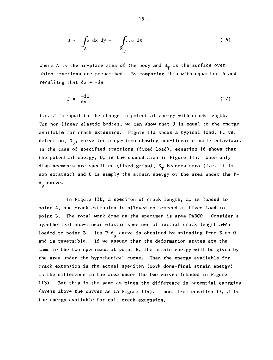$$
U = \int_{A} W dx dy - \int_{S_{T}} T \cdot u ds
$$
 (16)

where A is the in-plane area of the body and  $S_{\sf m}$  is the surface over which tractions are prescribed. By comparing this with equation 14 and recalling that  $dx = -da$ 

$$
J = \frac{-dU}{da}
$$
 (17)

i.e. J is equal to the change in potential energy with crack length. For non-linear elastic bodies, we can show that J is equal to the energy available for crack extension. Figure 11a shows a typical load, P, vs. defection,  $\delta_{n}$ , curve for a specimen showing non-linear elastic behaviour. In the case of specified tractions (fixed load), equation 16 shows that the potential energy, U, is the shaded area in Figure lia. When only displacements are specified (fixed grips),  $S_T$  becomes zero (i.e. it is non existent) and U is simply the strain energy or the area under the P-  $^{\delta} _{\text{p}}$  curve.

In Figure lib, a specimen of crack length, a, is loaded to point A, and crack extension is allowed to proceed at fixed load to point B. The total work done on the specimen is area OABCO. Consider a hypothetical non-linear elastic specimen of initial crack length a+ôa loaded to point B. Its  $P-\delta_n$  curve is obtained by unloading from B to C and is reversible. If we assume that the deformation states are the same in the two specimens at point B, the strain energy will be given by the area under the hypothetical curve. Then the energy available for crack extension in the actual specimen (work done-final strain energy) is the difference in the area under the two curves (shaded in Figure lib). But this is the same as minus the difference in potential energies (areas above the curves as in Figure 11a). Thus, from equation 17, J is the energy available for unit crack extension.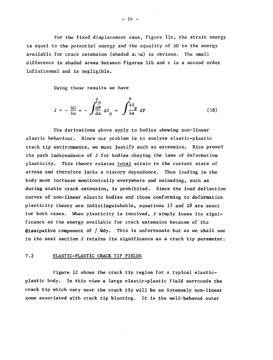For the fixed displacement case, Figure 11c, the strain energy is equal to the potential energy and the equality of  $\Delta U$  to the energy available for crack extension (shaded  $a_1 \circ a$ ) is obvious. The small difference in shaded areas between Figures lib and c is a second order infinitesmal and is negligible.

Using these results we have

$$
J = -\frac{\Delta U}{\Delta a} = -\int \frac{\delta p}{da} d\delta_p = \int \frac{P}{\delta a} dP
$$
 (18)

The derivations above apply to bodies showing non-linear elastic behaviour. Since our problem is to analyze elastic-plastic crack tip environments, we must justify such an extension. Rice proved the path independence of J for bodies obeying the laws of deformation plasticity. This theory relates total strain to the current state of stress and therefore lacks a history dependence. Thus loading in the body must increase monitonically everywhere and unloading, such as during stable crack extension, is prohibited. Since the load deflection curves of non-linear elastic bodies and those conforming to deformation plasticity theory are indistinguishable, equations 17 and 18 are exact for both cases. When plasticity is involved, J simply loses its significance as the energy available for crack extension because of tha **dissipative** component **of** / **Wdy.** This is unfortunate but as we shall see in the next section J retains its significance as a crack tip parameter.

#### 7.2 ELASTIC-PLASTIC CRACK TIP FIELDS

Figure 12 shows the crack tip region for a typical elasticplastic body. In this view a large elastic-plastic field surrounds the crack tip which very near the crack tip will be an intensely non-linear zone associated **with** crack tip **blunting.** It is the **well-behaved outer**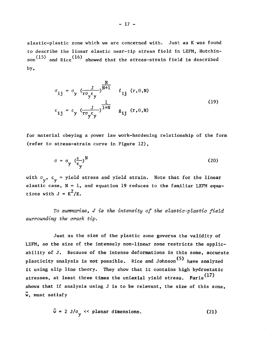elastic-plastic zone which we are concerned with. Just as K was found to describe the linear elastic near-tip stress field in LEFM, Hutchin- $_{\rm son}^{(15)}$  and Rice<sup>(16)</sup> showed that the stress-strain field is described by,

$$
\sigma_{ij} = \sigma_y \left( \frac{J}{r \sigma_y \epsilon_y} \right)^{\frac{N}{N+1}} \quad f_{ij} \quad (r, \theta, N)
$$
\n
$$
\epsilon_{ij} = \epsilon_y \left( \frac{J}{r \sigma_y \epsilon_y} \right)^{\frac{1}{1+N}} \quad g_{ij} \quad (r, \theta, N)
$$
\n(19)

for material obeying a power law work-hardening relationship of the form (refer to stress-strain curve in Figure 12),

$$
\sigma = \sigma_y \left( \frac{\varepsilon}{\varepsilon_y} \right)^N
$$
 (20)

with  $\sigma_y$ ,  $\epsilon_y$  = yield stress and yield strain. Note that for the linear y y elastic case,  $N = 1$ , and equation 19 reduces to the familiar LEFM equations with  $J = K^2/E$ .

To summarize, J is the intensity of the elastic-plastic field surrounding the crack tip.

Just as the size of the plastic zone governs the validity of LEFM, so the size of the intensely non-linear zone restricts the applicability of J. Because of the intense deformations in this zone, accurate plasticity analysis is not possible. Rice and Johnson<sup>(5)</sup> have analyzed it using slip line theory. They show that it contains high hydrostatic stresses, at least three times the uniaxial yield stress. Paris<sup>(17)</sup> shows that if analysis using J is to be relevant, the size of this zone, w, must satisfy

$$
\bar{w} = 2 \text{ J}/\sigma_{w} \ll \text{planar dimensions.}
$$
 (21)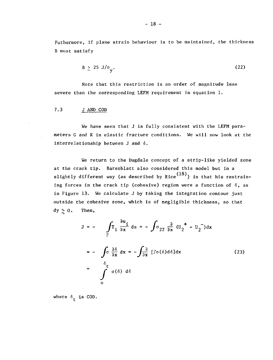Futhermore, if plane strain behaviour is to be maintained, the thickness B must satisfy

$$
B \geq 25 J/\sigma_y. \tag{22}
$$

Note that this restriction is an order of magnitude less severe than the corresponding LEFM requirement in equation 1.

7.3 J AND COD

We have seen that J is fully consistent with the LEFM parameters G and K in elastic fracture conditions. We will now look at the interrelationship between J and  $\delta$ .

We return to the Dugdale concept of a strip-like yielded zone at the crack tip. Barenblatt also considered this model but in a slightly different way (as described by Rice $^{(18)}$ ) in that his restraining forces in the crack tip (cohesive) region were a function of  $\delta$ , as in Figure 13. We calculate J by taking the integration contour just outside the cohesive zone, which is of negligible thickness, so that dy  $\sim 0$ . Then,

$$
J = - \int_{\Gamma} \Gamma_1 \frac{\partial u_1}{\partial x} ds = - \int_{\sigma} \sigma_{22} \frac{\partial}{\partial x} (U_2^{\dagger} - U_2^{\dagger}) dx
$$
  

$$
= - \int_{\sigma} \frac{\partial \delta}{\partial x} dx = - \int_{\sigma} \frac{\partial}{\partial x} [f \sigma(\delta) d\delta] dx
$$
 (23)  

$$
= \int_{\sigma}^{\delta} t \sigma(\delta) d\delta
$$

where  $\delta_{\dagger}$  is COD.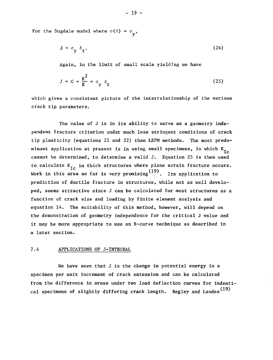For the Dugdale model where  $\sigma(\delta) = \sigma_{v}$ ,

$$
J = \sigma_y \delta_t.
$$
 (24)

Again, in the limit of small scale yielding we have

$$
J = G = \frac{K^2}{E} = \sigma_y \delta_t \tag{25}
$$

which gives a consistent picture of the interrelationship of the various crack tip parameters.

The value of J is in its ability to serve as a geometry independent fracture criterion under much less stringent conditions of crack tip plasticity (equations 21 and 22) than LEFM methods. The most predominant application at present is in using small specimens, in which  $K_{T,c}$  $\tilde{ }$ cannot be determined, to determine a valid J. Equation 25 is then used to calculate  $K_{T_c}$  in thick structures where plane scrain fracture occurs. Work in this area so far is very promising  $(19)$ . Its application to prediction of ductile fracture in structures, while not as well developed, seems attractive since J can be calculated for most structures as a function of crack size and loading by finite element analysis and equation  $14$ . The suitability of this method, however, will depend on the demonstration of geometry independence for the critical J value and it may be more appropriate to use an R-curve technique as described in a later section.

#### 7.4 APPLICATIONS OF J-INTEGRAL

We have seen that J is the change in potential energy in a specimen per unit increment of crack extension and can be calculated from the difference in areas under two load deflection curves for indentical specimens of slightly differing crack length. Begley and Landes<sup>(19)</sup>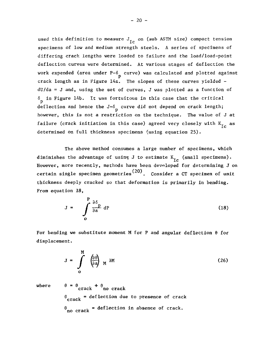used this definition to measure  $J_{T_c}$  on (sub ASTM size) compact tension specimens of low and medium strength steels. A series of specimens of differing crack lengths were loaded to failure and the load/load-point deflection curves were determined. At various stages of deflection the work expended (area under P- $\delta_{\rm p}$  curve) was calculated and plotted against crack length as in Figure 14a. The slopes of these curves yielded  $dU/da = J$  and, using the set of curves, J was plotted as a function of  $\delta_{\rm p}$  in Figure 14b. It was fortuitous in this case that the critical deflection and hence the J- $6\degree$  curve did not depend on crack length; however, this is not a restriction on the technique. The value of J at however, this is not a restriction on the technique. The value of J at failure (crack initiation in this case) and  $\frac{1}{\sqrt{2}}$  agreed very closely with K as

The above method consumes a large number of specimens, which diminishes the advantage of using J to estimate  $K_{\text{TC}}$  (small specimens). However, more recently, methods have been developed for determining J on certain single specimen geometries<sup>(20)</sup>. Consider a CT specimen of unit thickness deeply cracked so that deformation is primarily in bending. From equation 18,

$$
J = \int_{0}^{P} \frac{\partial \delta}{\partial a} dP
$$
 (18)

For bending we substitute moment M for P and angular deflection  $\theta$  for displacement.

$$
J = \int_{0}^{M} \left(\frac{\partial \theta}{\partial a}\right) M \quad \text{on} \tag{26}
$$

where  $\theta = \theta$  crack  $+\theta$  no crack  $\theta_{\text{crack}}$  = deflection due to presence of crack  $\theta$  no crack = deflection in absence of crack.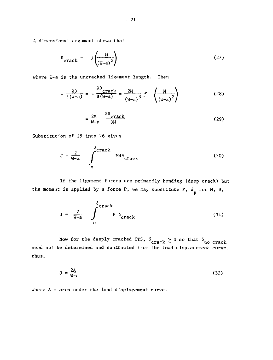A dimensional argument shows that

$$
\theta_{\text{crack}} = f\left(\frac{M}{(W-a)^2}\right) \tag{27}
$$

where W-a is the uncracked ligament length. Then

$$
-\frac{\partial \theta}{\partial (W-a)} = -\frac{\partial \theta}{\partial (W-a)} \operatorname{crack} = \frac{2M}{(W-a)^3} f' \left(\frac{M}{(W-a)^2}\right) \tag{28}
$$

$$
=\frac{2M}{W-a} \qquad \frac{\partial \theta_{\text{crack}}}{\partial M} \tag{29}
$$

P

Substitution of 29 into 26 gives

$$
J = \frac{2}{W-a} \int_{0}^{\theta \text{crack}} M d\theta_{\text{crack}} \tag{30}
$$

If the ligament forces are primarily bending (deep crack) but the moment is applied by a force P, we may substitute P,  $\delta_-$  for M,  $\theta$ ,

$$
J = \frac{2}{W-a} \int_{0}^{\delta_{\text{crack}}} P \delta_{\text{crack}} \tag{31}
$$

Now for the deeply cracked CTS,  $\delta_{\text{crack}} \sim \delta$  so that  $\delta_{\text{no crack}}$ need not be determined and subtracted from the load displacement curve,  $n_{\text{max}}$ 

$$
J = \frac{2A}{W-a} \tag{32}
$$

where  $A = area$  under the load displacement curve.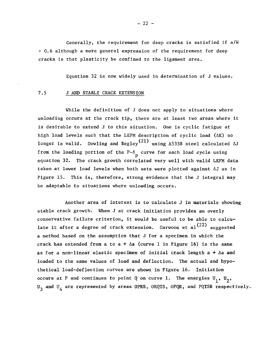Generally, the requirement for deep cracks is satisfied if a/W > 0.6 although a more general expression of the requirement for deep cracks is that plasticity be confined to the ligament area.

Equation 32 is now widely used in determination of J values.

#### 7.5 J AND STABLE CRACK EXTENSION

While the definition of J does not apply to situations where unloading occurs at the crack tip, there are at least two areas where it is desirable to extend J to this situation. One is cyclic fatigue at high load levels such that the LEFM description of cyclic load (AK) no longer is valid. Dowling and Begley $^{(21)}$  using A533B steel calculated  $\Delta J$ from the loading portion of the  $P-\delta_n$  curve for each load cycle using equation 32. The crack growth correlated very well with valid LEFM data taken at lower load levels when both sets were plotted against AJ as in Figure 15. This is, therefore, strong evidence that the J integral may be adaptable to situations where unloading occurs.

Another area of interest is to calculate J in materials showing stable crack growth. When J at crack initiation provides an overly conservative failure criterion, it would be useful to be able to calcu late it after a degree of crack extension. Garwood et al $^{(22)}$   $_{\rm suggested}$ a method based on the assumption that J for a specimen in which the crack has extended from a to a +  $\Delta a$  (curve 1 in Figure 16) is the same as for a non-linear elastic specimen of initial crack length  $a + \Delta a$  and loaded to the same values of load and deflection. The actual and hypothetical load-deflection curves are shown in Figure 16. Initiation occurs at P and continues to point Q on curve 1. The energies  $U_1$ ,  $U_2$ ,  $U_3$  and  $U_L$  are represented by areas OPRS, ORQTS, OPQR, and PQTSR respectively.

 $- 22 -$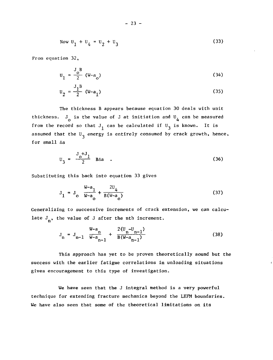Now 
$$
U_1 + U_4 = U_2 + U_3
$$
 (33)

From equation 32,

$$
U_1 = \frac{J_0^B}{2} (W - a_0)
$$
 (34)

$$
U_2 = \frac{J_1 B}{2} (W - a_1)
$$
 (35)

The thickness B appears because equation 30 deals with unit thickness.  $\mathrm{J}_{_{\mathbf{O}}}$  is the value of J at initiation and  $\bm{\mathsf{U}}_{_{\mathbf{A}}}$  can be measured from the record so that  $J_1$  can be calculated if  $U_3$  is known. It is assumed that the  $U_2$  energy is entirely consumed by crack growth, hence, for  $s$ mall  $\Delta a$ 

$$
U_3 = \frac{J+J_1}{2} BA
$$
 (36)

Substituting this back into equation 33 gives

$$
J_1 = J_0 \frac{W-a_1}{W-a_0} + \frac{2U_4}{B(W-a_0)}
$$
 (37)

Generalizing to successive increments of crack extension, we can calculate  $J_n$ , the value of J after the nth increment.

$$
J_n = J_{n-1} \frac{W-a_n}{W-a_{n-1}} + \frac{2(U_n - U_{n-1})}{B(W-a_{n-1})}
$$
(38)

This approach has yet to be proven theoretically sound but the success with the earlier fatigue correlations in unloading situations gives encouragement to this type of investigation.

We have seen that the J integral method is a very powerful technique for extending fracture mechanics beyond the LEFM boundaries. We have also seen that some of the theoretical limitations on its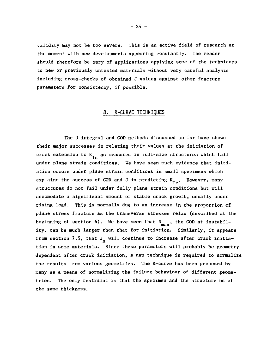validity may not be too severe. This is an active field of research at the moment with new developments appearing constantly. The reader should therefore be wary of applications applying some of the techniques to new or previously untested materials without very careful analysis including cross-checks of obtained J values against other fracture parameters for consistency, if possible.

#### 8. R-CURVE TECHNIQUES

The J integral and COD methods discussed so far have shown their major successes in relating their values at the initiation of crack extension to  $K_{Tc}$  as measured in full-size structures which fail under plane strain conditions. We have seen much evidence that initiation occurs under plane strain conditions in small specimens which explains the success of COD and J in predicting  $K_{T_c}$ . However, many structures do not fail under fully plane strain conditions but will accomodate a significant amount of stable crack growth, usually under rising load. This is normally due to an increase in the proportion of plane stress fracture as the transverse stresses relax (described at the beginning of section 6). We have seen that  $\delta_{\text{max}}$ , the COD at instability, can be much larger than that for initiation. Similarly, it appears from section 7.5, that  $J_n$  will continue to increase after crack initiation in some materials. Since these parameters will probably be geometry dependent after crack initiation, a new technique is required to normalize the results from various geometries. The R-curve has been proposed by many as a means of normalizing the failure behaviour of different geometries. The only restraint is that the specimen and the structure be of  $t$  tries. The only restraint is that the specimen and the structure be of the structure be of the structure be of the structure be of the structure be of the structure be of the structure be of the structure be of the st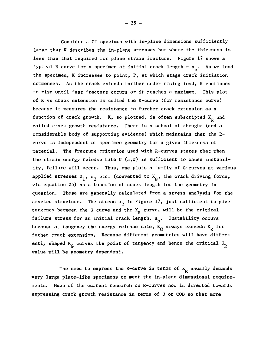Consider a CT specimen with in-plane dimensions sufficientlylarge that K describes the in-plane stresses but where the thickness is less than that required for plane strain fracture. Figure 17 shows a typical R curve for a specimen at initial crack length =  $a_1$ . As we load the specimen, K increases to point, P, at which stage crack initiation commences. As the crack extends further under rising load, K continues to rise until fast fracture occurs or it reaches a maximum. This plot of K vs crack extension is called the R-curve (for resistance curve) because it measures the resistance to further crack extension as a function of crack growth. K, so plotted, is often subscripted  $K_p$  and called crack growth resistance. There is a school of thought (and a considerable body of supporting evidence) which maintains that the  $R$ curve is independent of specimen geometry for a given thickness of material. The fracture criterion used with R-curves states that when the strain energy release rate G  $(a, \sigma)$  is sufficient to cause instability, failure will occur. Thus, one plots a family of G-curves at various applied stresses  $\circ_1^{},\,\circ_2^{}$  etc. (converted to  $\mathrm{k}_{\mathrm{G}}^{},$  the crack driving force, via equation 25) as a function of crack length for the geometry in question. These are generally calculated from a stress analysis for the cracked structure. The stress  $\sigma$ <sub>2</sub> in Figure 17, just sufficient to give tangency between the G curve and the  $K_p$  curve, will be the critical failure stress for an initial crack length,  $a_0$ . Instability occurs because at tangency the energy release rate,  $K_{\rm c}$  always exceeds  $K_{\rm p}$  for futher crack extension. Because different geometries will have differently shaped  $K_c$  curves the point of tangency and hence the critical  $K_p$ value will be geometry dependent.

The need to express the R-curve in terms of  $K_{\rm R}$  usually demands very large plate-like specimens to meet the in-plane dimensional requirements. Much of the current research on R-curves now is directed towards expressing crack growth resistance in terms of J or COD so that more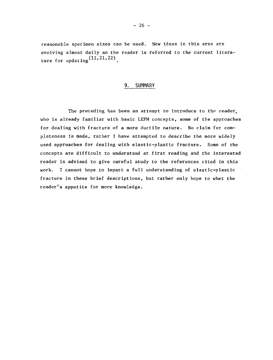reasonable specimen sizes can be used. New ideas in this area are evolving almost daily so the reader is referred to the current litera ture for updating  $\left(11,21,22\right)$  ,

#### 9. SUMMARY

The preceding has been an attempt to introduce to the reader, who is already familiar with basic LEFM concepts, some of the approaches for dealing with fracture of a more ductile nature. No claim for completeness is made, rather I have attempted to describe the more widely used approaches for dealing with elastic-plastic fracture. Some of the concepts are difficult to understand at first reading and the interested reader is advised to give careful study to the references cited in this work. I cannot hope to impart a full understanding of elastic-plastic fracture in these brief descriptions, but rather only hope to whet the reader's appetite for more knowledge.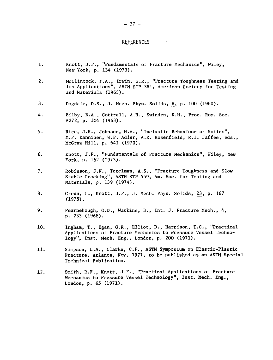#### REFERENCES

Ņ,

- 1. Knott, J.F., "Fundamentals of Fracture Mechanics", Wiley, New York, p. 134 (1973).
- 2. McClintock, F.A., Irwin, G.R., "Fracture Toughness Testing and its Applications", ASTM STP 381, American Society for Testing and Materials (1965).
- 3. Dugdale, D.S., J. Mech. Phys. Solids, 8, p. 100 (1960).
- 4. Bilby, B.A., Cottrell, A.H., Swinden, K.H., Proc. Roy. Soc. A272, p. 304 (1963).
- 5. Rice, J.R., Johnson, M.A., "Inelastic Behaviour of Solids", M.F. Kanninen, W.F. Adler, A.R. Rosenfield, R.I. Jaffee, eds. , McGraw Hill, p. 641 (1970).
- 6. Knott, J.F., "Fundamentals of Fracture Mechanics", Wiley, New York, p. 162 (1973).
- 7. Robinson, J.N., Tetelman, A.S., "Fracture Toughness and Slow Stable Cracking", ASTM STP 559, Am. Soc. for Testing and Materials, p. 139 (1974).
- 8. Green, G., Knott, J.F., J. Mech. Phys. Solids, 23, p. 167 (1975).
- 9. Fearnehough, G.D., Watkins, B., Int. J. Fracture Mech., 4, p. 233 (1968).
- 10. Ingham, T., Egan, G.R., Elliot, D., Harrison, T.C., "Practical Applications of Fracture Mechanics to Pressure Vessel Technology", Inst. Mech. Eng., London, p. 200 (1971).
- 11. Simpson, L.A., Clarke, C.F., ASTM Symposium on Elastic-Plastic Fracture, Atlanta, Nov. 1977, to be published as an ASTM Special Technical Publication.
- 12. Smith, R.F., Knott, J.F., "Practical Applications of Fracture Mechanics to Pressure Vessel Technology", Inst. Mech. Eng., London, p. 65 (1971).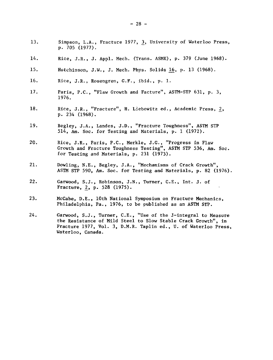- 13. Simpson, L.A., Fracture 1977, 3, University of Waterloo Press, p. 705 (1977).
- 14. Rice, J.R., J. Appl. Mech. (Trans. ASME), p. 379 (June 1968).
- 15. Hutchinson, J.W., J. Mech. Phys. Solids 16, p. 13 (1968).
- 16. Rice, J.R., Rosengren, G.F., ibid., p. 1.
- 17. Paris, P.C., "Flaw Growth and Facture", ASTM-STP 631, p. 3, 1976.
- 18. Rice, J.R., "Fracture", H. Liebowitz ed., Academic Press, 2, p. 234 (1968).
- 19. Begley, J.A., Landes, J.D., "Fracture Toughness", ASTM STP 514, Am. Soc. for Testing and Materials, p. 1 (1972).
- 20. Rice, J.R., Paris, P.C., Merkle, J.G., "Progress in Flaw Growth and Fracture Toughness Testing", ASTM STP 536, Am. Soc. for Testing and Materials, p. 231 (1973).
- 21. Dowling, N.E., Begley, J.A., "Mechanisms of Crack Growth", ASTM STP 590, Am. Soc. for Testing and Materials, p. 82 (1976).
- 22. Garwood, S.J., Robinson, J.N., Turner, C.E., Int. J. of Fracture, 2, p. 528 (1975).
- 23. McCabe, D.E., 10th National Symposium on Fracture Mechanics, Philadelphia, Pa., 1976, to be published as an ASTM STP.
- 24. Garwood, S.J., Turner, C.E., "Use of the J-integral to Measure the Resistance of Mild Steel to Slow Stable Crack Growth", in Fracture 1977, Vol. 3, D.M.R. Taplin éd., U. of Waterloo Press, Waterloo, Canada.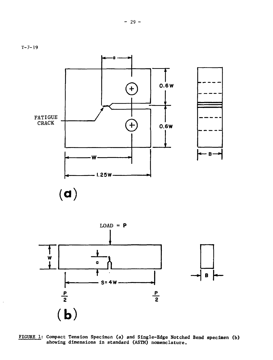



 $\overline{\phantom{a}}$ 

**FIGURE 1: Compact Tension Specimen (a) and Single-Edge Notched Bend specimen (b) showing dimensions in standard (ASTM) nomenclature.**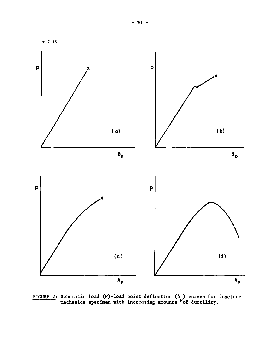

**FIGURE 2: Schematic load (P)-load point deflection (6 ) curves for fracture mechanics specimen with increasing amounts <sup>p</sup>of ductility.**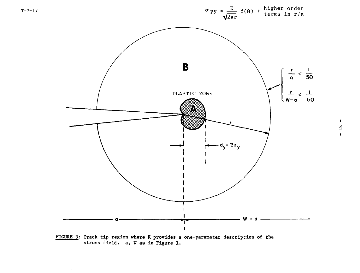

FIGURE 3; Crack tip region where K provides a one-parameter description of the stress field, a, W as in Figure 1.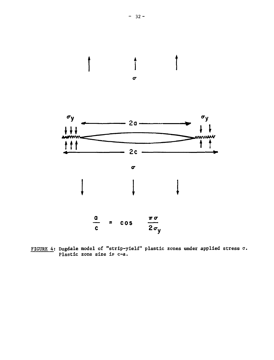

FIGURE 4; Dugdale model of "strip-yield" plastic zones under applied stress a. Plastic zone size is c-a.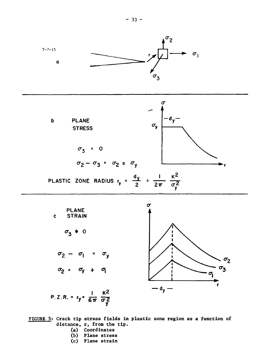

**I K2 P.Z.R. - ry= g ^**

**FIGURE 5; Crack tip stress fields In plastic zone region as a function of distance, r, from the tip.**

- **(a) Coordinates**
- **(b) Plane stress**
- **(c) Plane strain**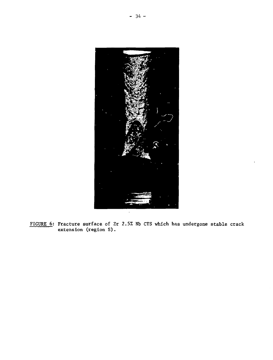

FIGURE 6: Fracture surface of Zr 2.5% Nb CTS which has undergone stable crack extension (region S).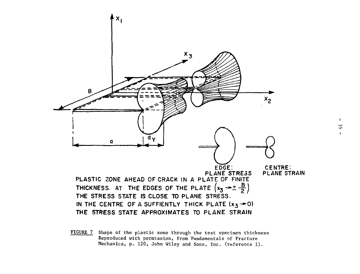

FIGURE 7 Shape of the plastic zone through the test specimen thickness Reproduced with permission, from Fundamentals of Fracture Mechanics, p. 120, John Wiley and Sons, Inc. (reference 1).

 $\mathbf{I}$ 35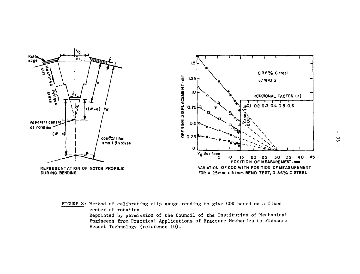

**FIGURE 8: Method of calibrating clip gauge reading to give COD based on a fixed center of rotation Reprinted by permission of the Council of the Institution of Mechanical Engineers from Practical Applications of Fracture Mechanics to Pressure Vesoel Technology (reference 10).**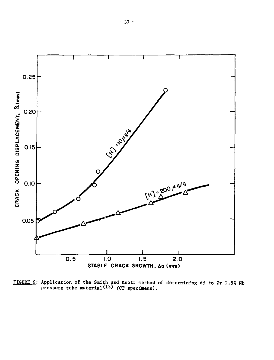

FIGURE 9: Application of the Smith and Knott method of determining 6i to Zr 2.5% Nb pressure tube material<sup>(13)</sup> (CT specimens).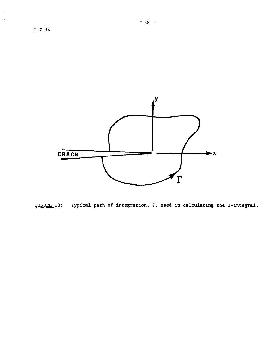

 $\hat{\boldsymbol{\epsilon}}$  $\ddot{\phantom{a}}$ 



FIGURE 10: Typical path of integration, T, used in calculating the J-integral.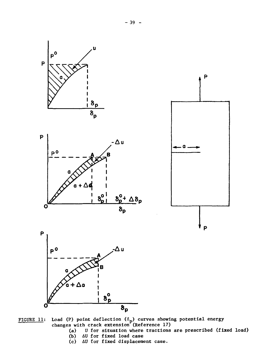

FIGURE 11: Load (P) point deflection  $(\delta_{\bf n})$  curves showing potential energy changes with crack extension (Reference 17)

- (a) U for situation where tractions are prescribed (fixed load)
- (b) AU for fixed load case
- (c) AU for fixed displacement case.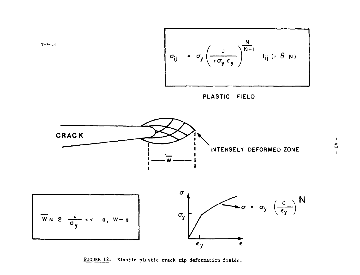$$
\sigma_{ij} = \sigma_y \left( \frac{J}{r \sigma_y \epsilon_y} \right)^{\frac{N}{N+1}} f_{ij} (r \theta N)
$$
\nPlASTIC FIELD

\nCHAPTERSETV DEFORMED ZONE

\n
$$
\overline{w} \approx 2 \frac{J}{\sigma_y} \ll a, w-a
$$
\nwhere  $\sigma_y$  is the probability of  $\frac{C}{\epsilon_y}$  and  $\sigma_z$  is the probability of  $\frac{C}{\epsilon_y}$  and  $\frac{C}{\epsilon_y}$  is the probability of  $\frac{C}{\epsilon_y}$ .

FIGURE 12: Elastic plastic crack tip deformation fields.

 $-40$ 1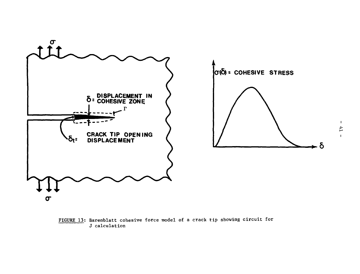

FIGURE 13; Barenblatt cohesive force model of a crack tip showing circuit for J calculation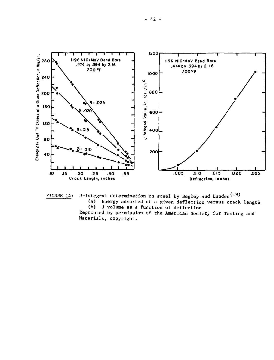

FIGURE 14: J-integral determination on steel by Begley and Landes<sup>(19)</sup><br>(a) Energy adsorbed at a given deflection versus crack

(a) Energy adsorbed at a given deflection versus crack length J volume as a function of deflection

Reprinted by permission of the American Society for Testing and Materials, copyright.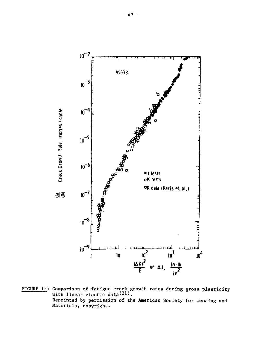

FIGURE 15: Comparison of fatigue crack growth rates during gross plasticity with linear elastic data(21). Reprinted by permission of the American Society for Testing and Materials, copyright.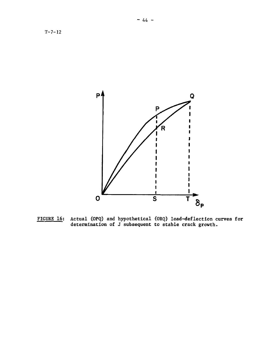

**FIGURE 16: Actual (OPQ) and hypothetical (ORQ) load-deflection curves for determination of J subsequent to stable crack growth.**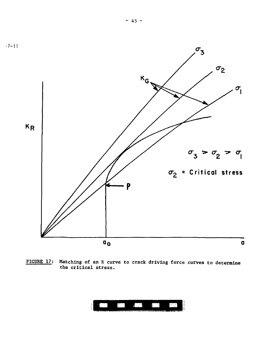

FIGURE 17: Matching of an R curve to crack driving force curves to determine the critical stress.